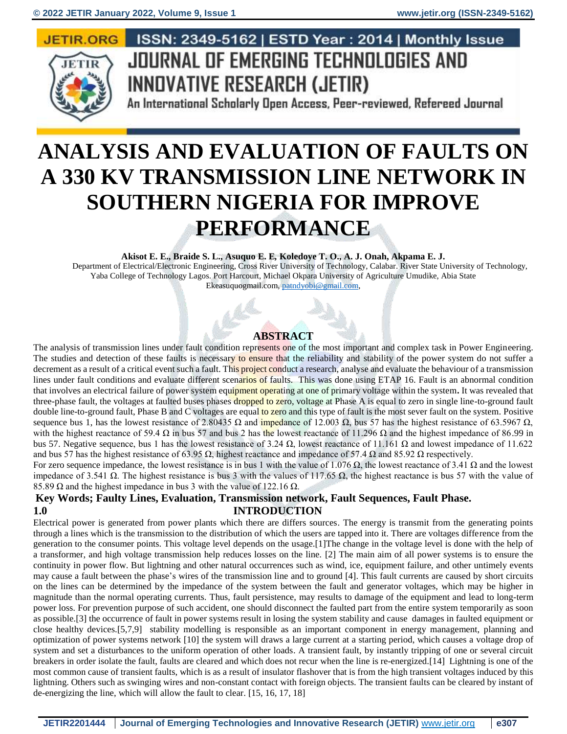#### **JETIR.ORG**



## ISSN: 2349-5162 | ESTD Year: 2014 | Monthly Issue JOURNAL OF EMERGING TECHNOLOGIES AND **INNOVATIVE RESEARCH (JETIR)**

An International Scholarly Open Access, Peer-reviewed, Refereed Journal

# **ANALYSIS AND EVALUATION OF FAULTS ON A 330 KV TRANSMISSION LINE NETWORK IN SOUTHERN NIGERIA FOR IMPROVE PERFORMANCE**

**Akisot E. E., Braide S. L., Asuquo E. E***,* **Koledoye T. O., A. J. Onah, Akpama E. J.**

Department of Electrical/Electronic Engineering, Cross River University of Technology, Calabar. River State University of Technology, Yaba College of Technology Lagos. Port Harcourt, Michael Okpara University of Agriculture Umudike, Abia State Ekeasuquogmail.com[, patndyobi@gmail.com,](mailto:patndyobi@gmail.com)

### **ABSTRACT**

The analysis of transmission lines under fault condition represents one of the most important and complex task in Power Engineering. The studies and detection of these faults is necessary to ensure that the reliability and stability of the power system do not suffer a decrement as a result of a critical event such a fault. This project conduct a research, analyse and evaluate the behaviour of a transmission lines under fault conditions and evaluate different scenarios of faults. This was done using ETAP 16. Fault is an abnormal condition that involves an electrical failure of power system equipment operating at one of primary voltage within the system**.** It was revealed that three-phase fault, the voltages at faulted buses phases dropped to zero, voltage at Phase A is equal to zero in single line-to-ground fault double line-to-ground fault, Phase B and C voltages are equal to zero and this type of fault is the most sever fault on the system. Positive sequence bus 1, has the lowest resistance of 2.80435 Ω and impedance of 12.003 Ω, bus 57 has the highest resistance of 63.5967 Ω, with the highest reactance of 59.4  $\Omega$  in bus 57 and bus 2 has the lowest reactance of 11.296  $\Omega$  and the highest impedance of 86.99 in bus 57. Negative sequence, bus 1 has the lowest resistance of 3.24 Ω, lowest reactance of 11.161 Ω and lowest impedance of 11.622 and bus 57 has the highest resistance of 63.95  $\Omega$ , highest reactance and impedance of 57.4  $\Omega$  and 85.92  $\Omega$  respectively.

For zero sequence impedance, the lowest resistance is in bus 1 with the value of 1.076 Ω, the lowest reactance of 3.41 Ω and the lowest impedance of 3.541  $\Omega$ . The highest resistance is bus 3 with the values of 117.65  $\Omega$ , the highest reactance is bus 57 with the value of 85.89  $\Omega$  and the highest impedance in bus 3 with the value of 122.16  $\Omega$ .

#### **Key Words; Faulty Lines, Evaluation, Transmission network, Fault Sequences, Fault Phase. 1.0 INTRODUCTION**

Electrical power is generated from power plants which there are differs sources. The energy is transmit from the generating points through a lines which is the transmission to the distribution of which the users are tapped into it. There are voltages difference from the generation to the consumer points. This voltage level depends on the usage.[1]The change in the voltage level is done with the help of a transformer, and high voltage transmission help reduces losses on the line. [2] The main aim of all power systems is to ensure the continuity in power flow. But lightning and other natural occurrences such as wind, ice, equipment failure, and other untimely events may cause a fault between the phase's wires of the transmission line and to ground [4]. This fault currents are caused by short circuits on the lines can be determined by the impedance of the system between the fault and generator voltages, which may be higher in magnitude than the normal operating currents. Thus, fault persistence, may results to damage of the equipment and lead to long-term power loss. For prevention purpose of such accident, one should disconnect the faulted part from the entire system temporarily as soon as possible.[3] the occurrence of fault in power systems result in losing the system stability and cause damages in faulted equipment or close healthy devices.[5,7,9] stability modelling is responsible as an important component in energy management, planning and optimization of power systems network [10] the system will draws a large current at a starting period, which causes a voltage drop of system and set a disturbances to the uniform operation of other loads. A transient fault, by instantly tripping of one or several circuit breakers in order isolate the fault, faults are cleared and which does not recur when the line is re-energized.[14] Lightning is one of the most common cause of transient faults, which is as a result of insulator flashover that is from the high transient voltages induced by this lightning. Others such as swinging wires and non-constant contact with foreign objects. The transient faults can be cleared by instant of de-energizing the line, which will allow the fault to clear. [15, 16, 17, 18]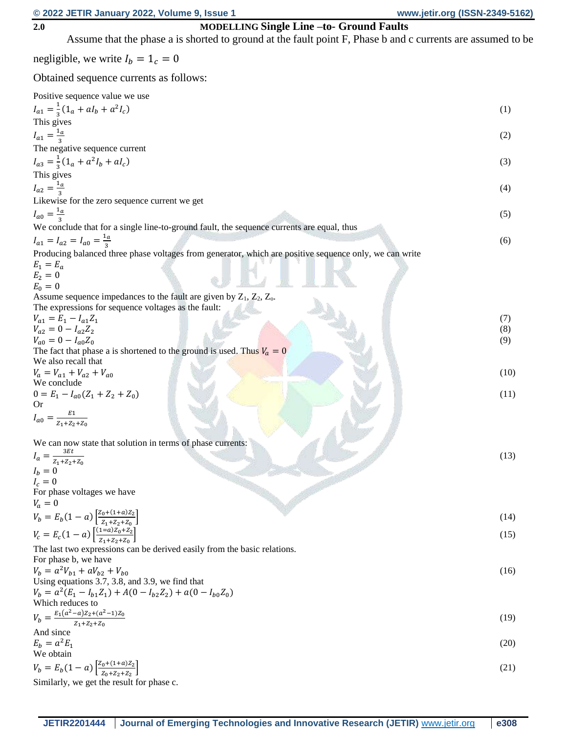#### **2.0 MODELLING Single Line –to- Ground Faults**

Assume that the phase a is shorted to ground at the fault point F, Phase b and c currents are assumed to be negligible, we write  $I_b = 1_c = 0$ Obtained sequence currents as follows: Positive sequence value we use  $I_{a1} = \frac{1}{3}$  $rac{1}{3}(1_a + aI_b + a^2I_c)$ ) (1) This gives  $I_{a1} = \frac{1_a}{2}$ 3 (2) The negative sequence current  $I_{a3} = \frac{1}{3}$  $\frac{1}{3}(1_a + a^2I_b + aI_c)$ ) (3)  $\hspace{1.5cm}$  (3)  $\hspace{1.5cm}$  (3) This gives  $I_{a2} = \frac{1_a}{2}$ 3 (4) Likewise for the zero sequence current we get  $I_{a0} = \frac{1_a}{3}$ 3 (5) We conclude that for a single line-to-ground fault, the sequence currents are equal, thus  $I_{a1} = I_{a2} = I_{a0} = \frac{1_a}{2}$ 3 (6) Producing balanced three phase voltages from generator, which are positive sequence only, we can write  $E_1 = E_a$  $E_2 = 0$  $E_0 = 0$ Assume sequence impedances to the fault are given by  $Z_1$ ,  $Z_2$ ,  $Z_0$ . The expressions for sequence voltages as the fault:  $V_{a1} = E_1 - I_{a1}Z_1$ (7)  $V_{a2} = 0 - I_{a2} Z_2$ (8)  $V_{a0} = 0 - I_{a0} Z_0$ (9) The fact that phase a is shortened to the ground is used. Thus  $V_a = 0$ We also recall that  $V_a = V_{a1} + V_{a2} + V_{a0}$ (10) We conclude  $0 = E_1 - I_{a0}(Z_1 + Z_2 + Z_0)$  (11) Or  $I_{a0} = \frac{E_1}{Z_{a} + Z_{b}}$  $Z_1 + Z_2 + Z_0$ We can now state that solution in terms of phase currents:  $I_a = \frac{3\pi l}{Z_1 + Z_2 + Z_0}$  $3Et$ (13)  $I_b = 0$  $I_c = 0$ For phase voltages we have  $V_a = 0$  $V_b = E_b(1-a) \left[ \frac{Z_0+(1+a)Z_2}{Z_1+Z_2+Z_3} \right]$  $Z_1 + Z_2 + Z_0$  $\sim$  (14)  $V_c = E_c(1 - a) \left[ \frac{(1-a)Z_0 + Z_2}{Z_0 + Z_0 + Z_1} \right]$  $Z_1 + Z_2 + Z_0$  $\vert$  (15) The last two expressions can be derived easily from the basic relations. For phase b, we have  $V_b = a^2 V_{b1} + aV_{b2} + V_{b0}$ (16) Using equations 3.7, 3.8, and 3.9, we find that  $V_b = a^2(E_1 - I_{b1}Z_1) + A(0 - I_{b2}Z_2) + a(0 - I_{b0}Z_0)$ Which reduces to  $V_b = \frac{E_1(a^2-a)Z_2+(a^2-1)Z_0}{Z_1+Z_2+Z_3}$  $Z_1+Z_2+Z_0$ (19) And since  $E_b = a^2 E_1$ (20) We obtain

$$
V_b = E_b(1 - a) \left[ \frac{Z_0 + (1 + a)Z_2}{Z_0 + Z_2 + Z_2} \right]
$$
  
Similarly, we get the result for phase c. (21)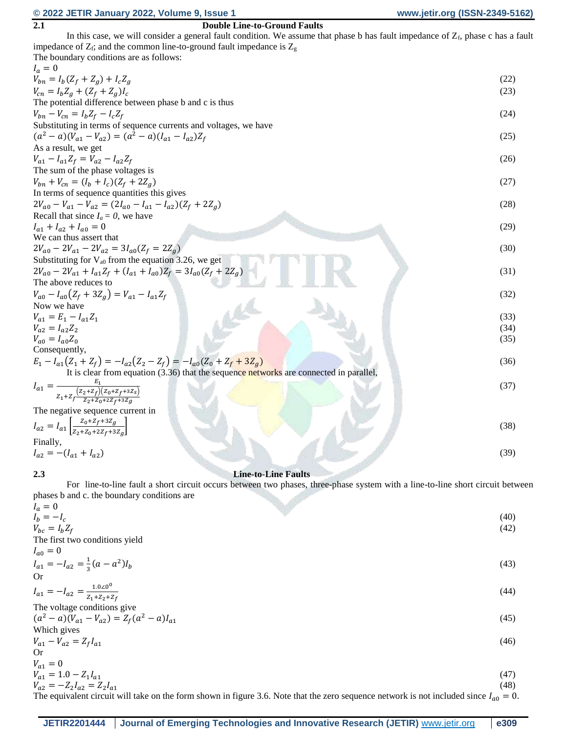### **© 2022 JETIR January 2022, Volume 9, Issue 1 www.jetir.org (ISSN-2349-5162)**

| 2.1<br><b>Double Line-to-Ground Faults</b>                                                                                                 |      |
|--------------------------------------------------------------------------------------------------------------------------------------------|------|
| In this case, we will consider a general fault condition. We assume that phase b has fault impedance of $Z_f$ , phase c has a fault        |      |
| impedance of $Z_f$ ; and the common line-to-ground fault impedance is $Z_g$                                                                |      |
| The boundary conditions are as follows:                                                                                                    |      |
| $I_a=0$                                                                                                                                    |      |
| $V_{bn} = I_b (Z_f + Z_a) + I_c Z_a$                                                                                                       | (22) |
|                                                                                                                                            |      |
| $V_{cn} = I_b Z_g + (Z_f + Z_g)I_c$                                                                                                        | (23) |
| The potential difference between phase b and c is thus                                                                                     |      |
| $V_{bn} - V_{cn} = I_b Z_f - I_c Z_f$                                                                                                      | (24) |
| Substituting in terms of sequence currents and voltages, we have                                                                           |      |
| $(a^{2}-a)(V_{a1}-V_{a2}) = (a^{2}-a)(I_{a1}-I_{a2})Z_{f}$                                                                                 | (25) |
| As a result, we get                                                                                                                        |      |
|                                                                                                                                            | (26) |
| $V_{a1} - I_{a1}Z_f = V_{a2} - I_{a2}Z_f$                                                                                                  |      |
| The sum of the phase voltages is                                                                                                           |      |
| $V_{bn} + V_{cn} = (I_b + I_c)(Z_f + 2Z_g)$                                                                                                | (27) |
| In terms of sequence quantities this gives                                                                                                 |      |
| $2V_{a0} - V_{a1} - V_{a2} = (2I_{a0} - I_{a1} - I_{a2})(Z_f + 2Z_a)$                                                                      | (28) |
| Recall that since $I_a = 0$ , we have                                                                                                      |      |
| $I_{a1} + I_{a2} + I_{a0} = 0$                                                                                                             | (29) |
| We can thus assert that                                                                                                                    |      |
| $2V_{a0} - 2V_{a1} - 2V_{a2} = 3I_{a0}(Z_f = 2Z_g)$                                                                                        | (30) |
|                                                                                                                                            |      |
| Substituting for $V_{a0}$ from the equation 3.26, we get                                                                                   |      |
| $2V_{a0} - 2V_{a1} + I_{a1}Z_f + (I_{a1} + I_{a0})Z_f = 3I_{a0}(Z_f + 2Z_g)$                                                               | (31) |
| The above reduces to                                                                                                                       |      |
| $V_{a0} - I_{a0}(Z_f + 3Z_g) = V_{a1} - I_{a1}Z_f$                                                                                         | (32) |
| Now we have                                                                                                                                |      |
| $V_{a1} = E_1 - I_{a1}Z_1$                                                                                                                 | (33) |
| $V_{a2} = I_{a2} Z_2$                                                                                                                      | (34) |
| $V_{a0} = I_{a0} Z_0$                                                                                                                      | (35) |
| Consequently,                                                                                                                              |      |
|                                                                                                                                            |      |
| $E_1 - I_{a1}(Z_1 + Z_f) = -I_{a2}(Z_2 - Z_f) = -I_{a0}(Z_0 + Z_f + 3Z_g)$                                                                 | (36) |
| It is clear from equation $(3.36)$ that the sequence networks are connected in parallel,                                                   |      |
| $I_{a1} = \frac{E_1}{z_1 + z_f \frac{(z_2 + z_f)(z_0 + z_f + 3z_s)}{z_2 + z_0 + 2z_f + 3z_g}}$                                             | (37) |
|                                                                                                                                            |      |
| The negative sequence current in                                                                                                           |      |
|                                                                                                                                            |      |
| $I_{a2} = I_{a1} \left[ \frac{z_0 + z_f + 3z_g}{z_2 + z_0 + 2z_f + 3z_g} \right]$                                                          | (38) |
|                                                                                                                                            |      |
| Finally,                                                                                                                                   |      |
| $I_{a2} = -(I_{a1} + I_{a2})$                                                                                                              | (39) |
|                                                                                                                                            |      |
| <b>Line-to-Line Faults</b><br>2.3                                                                                                          |      |
| For line-to-line fault a short circuit occurs between two phases, three-phase system with a line-to-line short circuit between             |      |
| phases b and c. the boundary conditions are                                                                                                |      |
| $I_a=0$                                                                                                                                    |      |
| $I_b = -I_c$                                                                                                                               | (40) |
| $V_{bc} = I_b Z_f$                                                                                                                         | (42) |
| The first two conditions yield                                                                                                             |      |
| $I_{a0} = 0$                                                                                                                               |      |
|                                                                                                                                            |      |
| $I_{a1} = -I_{a2} = \frac{1}{3}(a - a^2)I_b$                                                                                               | (43) |
| <b>Or</b>                                                                                                                                  |      |
| $I_{a1} = -I_{a2} = \frac{1.0 \times 0^0}{Z_1 + Z_2 + Z_f}$                                                                                | (44) |
|                                                                                                                                            |      |
| The voltage conditions give                                                                                                                |      |
| $(a^{2} - a)(V_{a1} - V_{a2}) = Z_{f}(a^{2} - a)I_{a1}$                                                                                    | (45) |
| Which gives                                                                                                                                |      |
| $V_{a1} - V_{a2} = Z_f I_{a1}$                                                                                                             | (46) |
| <b>Or</b>                                                                                                                                  |      |
|                                                                                                                                            |      |
| $V_{a1} = 0$                                                                                                                               |      |
| $V_{a1} = 1.0 - Z_1 I_{a1}$                                                                                                                | (47) |
| $V_{a2} = -Z_2 I_{a2} = Z_2 I_{a1}$                                                                                                        | (48) |
| The equivalent circuit will take on the form shown in figure 3.6. Note that the zero sequence network is not included since $I_{a0} = 0$ . |      |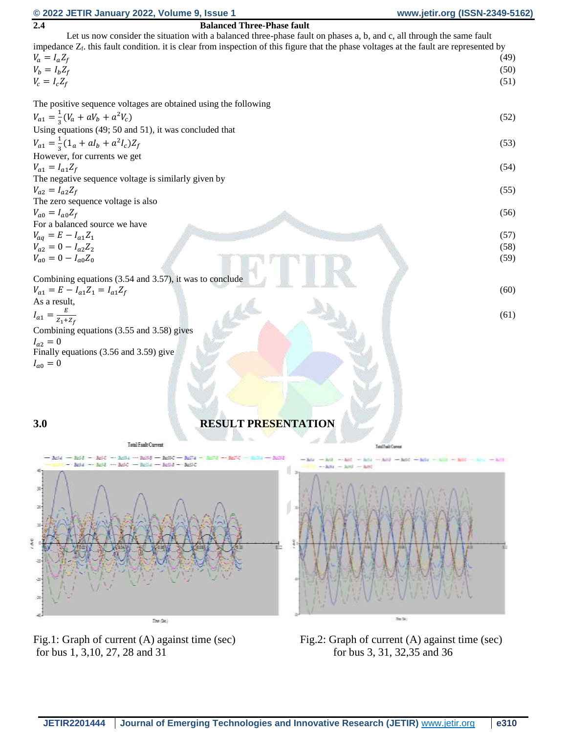#### **© 2022 JETIR January 2022, Volume 9, Issue 1 www.jetir.org (ISSN-2349-5162)**

|                                                                                                                                            | .                                                                                             |
|--------------------------------------------------------------------------------------------------------------------------------------------|-----------------------------------------------------------------------------------------------|
| <b>Balanced Three-Phase fault</b><br>2.4                                                                                                   |                                                                                               |
| Let us now consider the situation with a balanced three-phase fault on phases a, b, and c, all through the same fault                      |                                                                                               |
| impedance $Z_f$ , this fault condition, it is clear from inspection of this figure that the phase voltages at the fault are represented by |                                                                                               |
| $V_a = I_a Z_f$                                                                                                                            | (49)                                                                                          |
| $V_b = I_b Z_f$                                                                                                                            | (50)                                                                                          |
| $V_c = I_c Z_f$                                                                                                                            | (51)                                                                                          |
|                                                                                                                                            |                                                                                               |
| The positive sequence voltages are obtained using the following                                                                            |                                                                                               |
|                                                                                                                                            |                                                                                               |
| $V_{a1} = \frac{1}{3}(V_a + aV_b + a^2V_c)$                                                                                                | (52)                                                                                          |
| Using equations (49; 50 and 51), it was concluded that                                                                                     |                                                                                               |
| $V_{a1} = \frac{1}{3}(1_a + aI_b + a^2I_c)Z_f$                                                                                             | (53)                                                                                          |
| However, for currents we get                                                                                                               |                                                                                               |
| $V_{a1} = I_{a1}Z_f$                                                                                                                       | (54)                                                                                          |
| The negative sequence voltage is similarly given by                                                                                        |                                                                                               |
|                                                                                                                                            |                                                                                               |
| $V_{a2} = I_{a2}Z_f$                                                                                                                       | (55)                                                                                          |
| The zero sequence voltage is also                                                                                                          |                                                                                               |
| $V_{a0} = I_{a0}Z_f$                                                                                                                       | (56)                                                                                          |
| For a balanced source we have                                                                                                              |                                                                                               |
| $V_{aq} = E - I_{a1} Z_1$                                                                                                                  | (57)                                                                                          |
| $V_{a2} = 0 - I_{a2} Z_2$                                                                                                                  | (58)                                                                                          |
| $V_{a0} = 0 - I_{a0} Z_0$                                                                                                                  | (59)                                                                                          |
|                                                                                                                                            |                                                                                               |
| Combining equations (3.54 and 3.57), it was to conclude                                                                                    |                                                                                               |
| $V_{a1} = E - I_{a1}Z_1 = I_{a1}Z_f$                                                                                                       | (60)                                                                                          |
| As a result,                                                                                                                               |                                                                                               |
|                                                                                                                                            |                                                                                               |
| $I_{a1} = \frac{E}{Z_1 + Z_f}$                                                                                                             | (61)                                                                                          |
| Combining equations (3.55 and 3.58) gives                                                                                                  |                                                                                               |
| $I_{a2} = 0$                                                                                                                               |                                                                                               |
| Finally equations (3.56 and 3.59) give                                                                                                     |                                                                                               |
| $I_{a0}=0$                                                                                                                                 |                                                                                               |
|                                                                                                                                            |                                                                                               |
|                                                                                                                                            |                                                                                               |
|                                                                                                                                            |                                                                                               |
|                                                                                                                                            |                                                                                               |
|                                                                                                                                            |                                                                                               |
| <b>RESULT PRESENTATION</b><br>3.0                                                                                                          |                                                                                               |
|                                                                                                                                            |                                                                                               |
| <b>Tatal Fault Current</b>                                                                                                                 | Tatal Feath Corrent                                                                           |
|                                                                                                                                            |                                                                                               |
| - 3214 - 3216 - 3216 - 3216 - 3216 - 3216 - 3216 - 3217 - 3217 - 3217 - 3217 - 3218 - 321<br>and - and - and - and - and - and             | $-10$ - All $-10$ - All $-10$ - All $-10$ - All $-10$ - All $-10$ - All $-10$<br>$         -$ |
|                                                                                                                                            |                                                                                               |
|                                                                                                                                            |                                                                                               |
| 劲                                                                                                                                          |                                                                                               |
| 퍼                                                                                                                                          |                                                                                               |
|                                                                                                                                            |                                                                                               |
| 16                                                                                                                                         |                                                                                               |
|                                                                                                                                            |                                                                                               |
| 医见                                                                                                                                         |                                                                                               |
|                                                                                                                                            |                                                                                               |
|                                                                                                                                            |                                                                                               |
|                                                                                                                                            |                                                                                               |
|                                                                                                                                            |                                                                                               |
|                                                                                                                                            |                                                                                               |
|                                                                                                                                            |                                                                                               |
| Im(Sc)                                                                                                                                     | Zip Sci                                                                                       |
|                                                                                                                                            |                                                                                               |
|                                                                                                                                            |                                                                                               |

for bus 1, 3,10, 27, 28 and 31 for bus 3, 31, 32,35 and 36

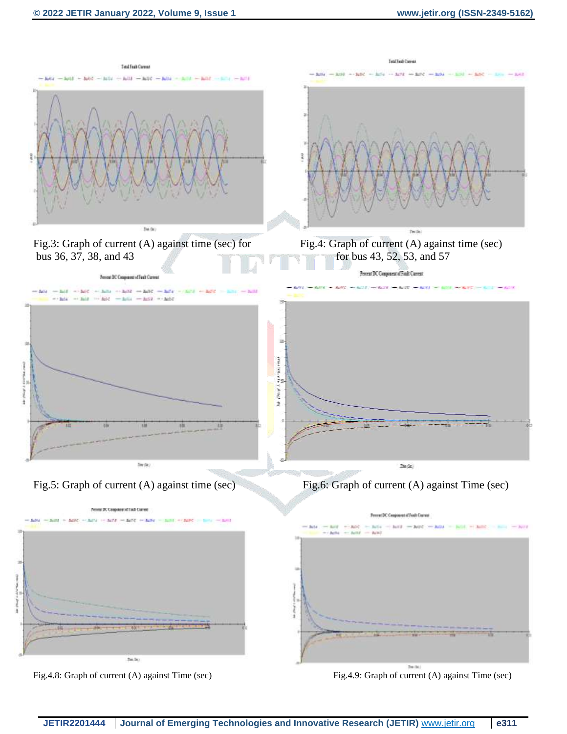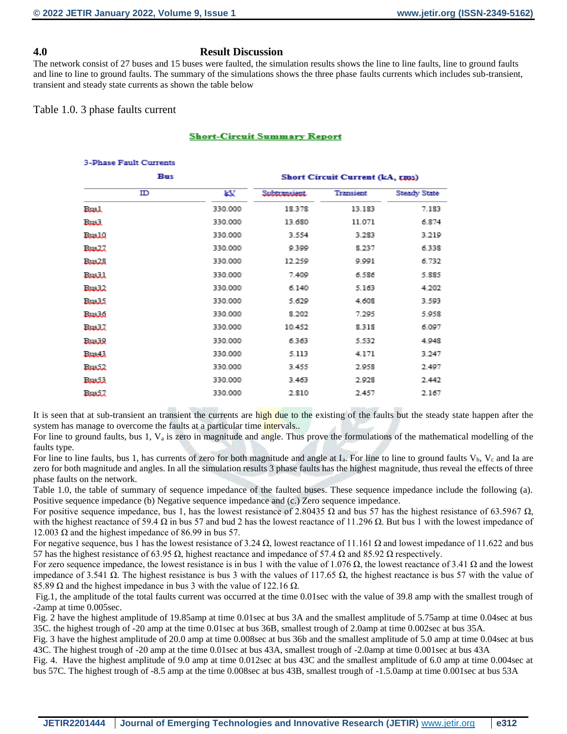#### **4.0 Result Discussion**

The network consist of 27 buses and 15 buses were faulted, the simulation results shows the line to line faults, line to ground faults and line to line to ground faults. The summary of the simulations shows the three phase faults currents which includes sub-transient, transient and steady state currents as shown the table below

#### Table 1.0. 3 phase faults current

#### **Short-Circuit Summary Report**

| <b>3-Phase Fault Currents</b> |         |                                        |           |                     |  |  |
|-------------------------------|---------|----------------------------------------|-----------|---------------------|--|--|
| Bus                           |         | <b>Short Circuit Current (kA, rms)</b> |           |                     |  |  |
| ID                            | ŁУ      | Subtransient                           | Transient | <b>Steady State</b> |  |  |
| لمسلة                         | 330.000 | 18.378                                 | 13.183    | 7.183               |  |  |
| لمسلة                         | 330,000 | 13.680                                 | 11.071    | 6.874               |  |  |
| يتلبينا                       | 330.000 | 3.554                                  | 3.283     | 3.219               |  |  |
| ستست                          | 330,000 | 9.399                                  | 8.237     | 6.338               |  |  |
| ستسلة                         | 330.000 | 12.259                                 | 9.991     | 6.732               |  |  |
| Baall                         | 330.000 | 7.409                                  | 6.586     | 5.885               |  |  |
| ستست                          | 330.000 | 6.140                                  | 5.163     | 4.202               |  |  |
| ستست                          | 330.000 | 5.629                                  | 4.608     | 3.593               |  |  |
| بمتسلة                        | 330.000 | 8.202                                  | 7.295     | 5.958               |  |  |
| ستست                          | 330.000 | 10.452                                 | 8.318     | 6.097               |  |  |
| بمتسلة                        | 330.000 | 6.363                                  | 5.532     | 4.948               |  |  |
| ستست                          | 330.000 | 5.113                                  | 4.171     | 3.247               |  |  |
| سيسا                          | 330.000 | 3.455                                  | 2.958     | 2.497               |  |  |
| ستست                          | 330,000 | 3.463                                  | 2.928     | 2.442               |  |  |
| سيسة                          | 330,000 | 2.810                                  | 2.457     | 2.167               |  |  |

It is seen that at sub-transient an transient the currents are high due to the existing of the faults but the steady state happen after the system has manage to overcome the faults at a particular time intervals..

For line to ground faults, bus 1,  $V_a$  is zero in magnitude and angle. Thus prove the formulations of the mathematical modelling of the faults type.

For line to line faults, bus 1, has currents of zero for both magnitude and angle at  $I_a$ . For line to line to ground faults  $V_b$ ,  $V_c$  and Ia are zero for both magnitude and angles. In all the simulation results 3 phase faults has the highest magnitude, thus reveal the effects of three phase faults on the network.

Table 1.0, the table of summary of sequence impedance of the faulted buses. These sequence impedance include the following (a). Positive sequence impedance (b) Negative sequence impedance and (c.) Zero sequence impedance.

For positive sequence impedance, bus 1, has the lowest resistance of 2.80435 Ω and bus 57 has the highest resistance of 63.5967 Ω, with the highest reactance of 59.4  $\Omega$  in bus 57 and bud 2 has the lowest reactance of 11.296  $\Omega$ . But bus 1 with the lowest impedance of 12.003 Ω and the highest impedance of 86.99 in bus 57.

For negative sequence, bus 1 has the lowest resistance of 3.24  $\Omega$ , lowest reactance of 11.161  $\Omega$  and lowest impedance of 11.622 and bus 57 has the highest resistance of 63.95 Ω, highest reactance and impedance of 57.4 Ω and 85.92 Ω respectively.

For zero sequence impedance, the lowest resistance is in bus 1 with the value of 1.076 Ω, the lowest reactance of 3.41 Ω and the lowest impedance of 3.541 Ω. The highest resistance is bus 3 with the values of 117.65 Ω, the highest reactance is bus 57 with the value of 85.89  $\Omega$  and the highest impedance in bus 3 with the value of 122.16  $\Omega$ .

Fig.1, the amplitude of the total faults current was occurred at the time 0.01sec with the value of 39.8 amp with the smallest trough of -2amp at time 0.005sec.

Fig. 2 have the highest amplitude of 19.85amp at time 0.01sec at bus 3A and the smallest amplitude of 5.75amp at time 0.04sec at bus 35C. the highest trough of -20 amp at the time 0.01sec at bus 36B, smallest trough of 2.0amp at time 0.002sec at bus 35A.

Fig. 3 have the highest amplitude of 20.0 amp at time 0.008sec at bus 36b and the smallest amplitude of 5.0 amp at time 0.04sec at bus 43C. The highest trough of -20 amp at the time 0.01sec at bus 43A, smallest trough of -2.0amp at time 0.001sec at bus 43A

Fig. 4. Have the highest amplitude of 9.0 amp at time 0.012sec at bus 43C and the smallest amplitude of 6.0 amp at time 0.004sec at bus 57C. The highest trough of -8.5 amp at the time 0.008sec at bus 43B, smallest trough of -1.5.0amp at time 0.001sec at bus 53A